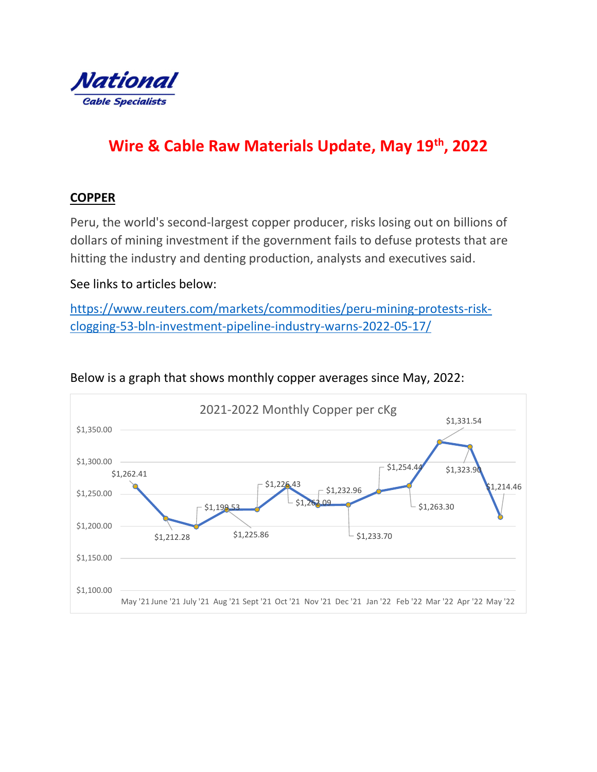

# Wire & Cable Raw Materials Update, May 19th, 2022

# **COPPER**

Peru, the world's second-largest copper producer, risks losing out on billions of dollars of mining investment if the government fails to defuse protests that are hitting the industry and denting production, analysts and executives said.

### See links to articles below:

https://www.reuters.com/markets/commodities/peru-mining-protests-riskclogging-53-bln-investment-pipeline-industry-warns-2022-05-17/



Below is a graph that shows monthly copper averages since May, 2022: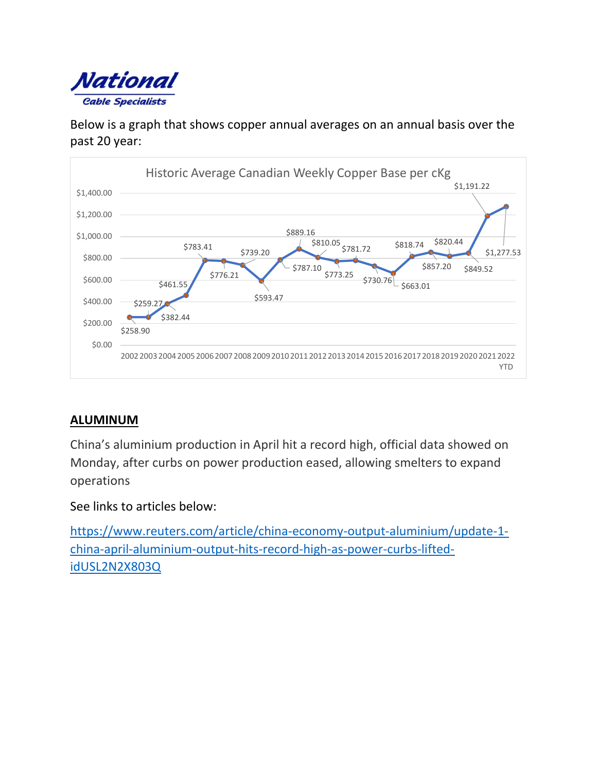

Below is a graph that shows copper annual averages on an annual basis over the past 20 year:



# ALUMINUM

China's aluminium production in April hit a record high, official data showed on Monday, after curbs on power production eased, allowing smelters to expand operations

See links to articles below:

https://www.reuters.com/article/china-economy-output-aluminium/update-1 china-april-aluminium-output-hits-record-high-as-power-curbs-liftedidUSL2N2X803Q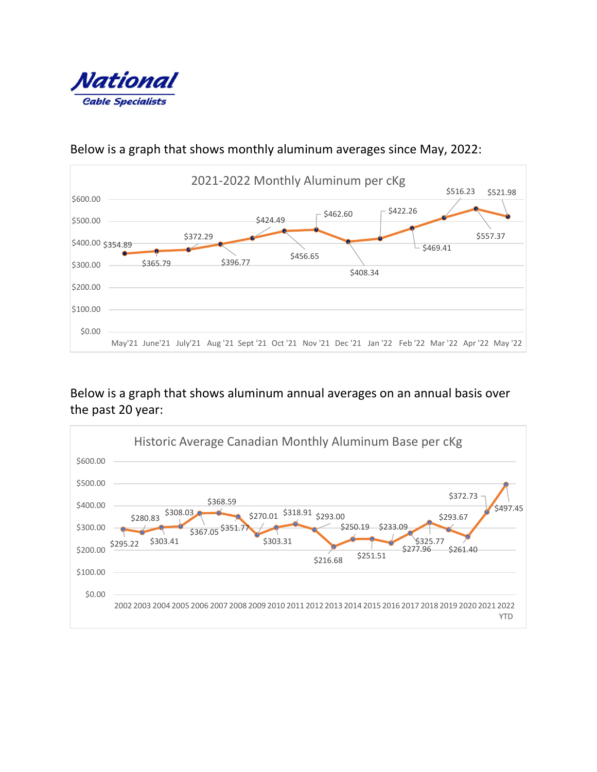



## Below is a graph that shows monthly aluminum averages since May, 2022:

Below is a graph that shows aluminum annual averages on an annual basis over the past 20 year: